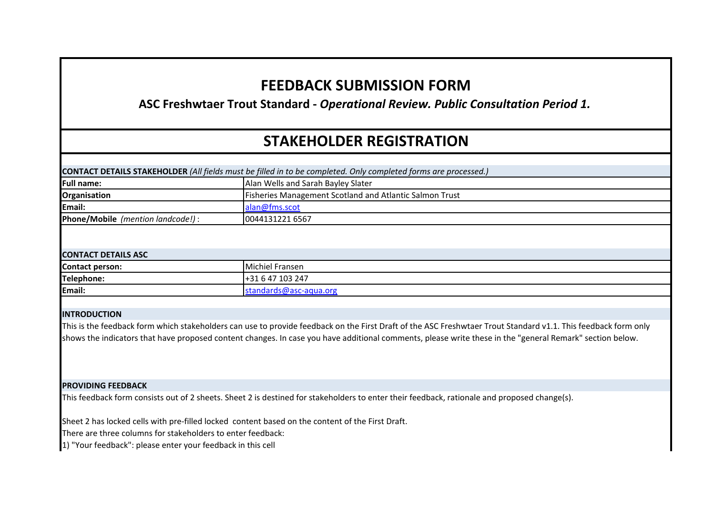# **FEEDBACK SUBMISSION FORM**

**ASC Freshwtaer Trout Standard -** *Operational Review. Public Consultation Period 1.*

# **STAKEHOLDER REGISTRATION**

| CONTACT DETAILS STAKEHOLDER (All fields must be filled in to be completed. Only completed forms are processed.) |  |  |  |
|-----------------------------------------------------------------------------------------------------------------|--|--|--|
|-----------------------------------------------------------------------------------------------------------------|--|--|--|

| <b>Full name:</b>                        | Alan Wells and Sarah Bayley Slater                             |
|------------------------------------------|----------------------------------------------------------------|
| Organisation                             | <b>Fisheries Management Scotland and Atlantic Salmon Trust</b> |
| Email:                                   | alan@fms.scot                                                  |
| <b>Phone/Mobile</b> (mention landcode!): | 0044131221 6567                                                |

## **CONTACT DETAILS ASC**

| $ -$                               |                                                  |  |
|------------------------------------|--------------------------------------------------|--|
| <b>Contact person:</b>             | Michiel<br>Fransen                               |  |
| Telephone:                         | 103 247<br>$\overline{\phantom{a}}$<br>-47<br>hД |  |
| Email:<br><b>Contract Contract</b> | --aqua.orr<br>ud                                 |  |

## **INTRODUCTION**

This is the feedback form which stakeholders can use to provide feedback on the First Draft of the ASC Freshwtaer Trout Standard v1.1. This feedback form only shows the indicators that have proposed content changes. In case you have additional comments, please write these in the "general Remark" section below.

#### **PROVIDING FEEDBACK**

This feedback form consists out of 2 sheets. Sheet 2 is destined for stakeholders to enter their feedback, rationale and proposed change(s).

Sheet 2 has locked cells with pre-filled locked content based on the content of the First Draft.

There are three columns for stakeholders to enter feedback:

1) "Your feedback": please enter your feedback in this cell